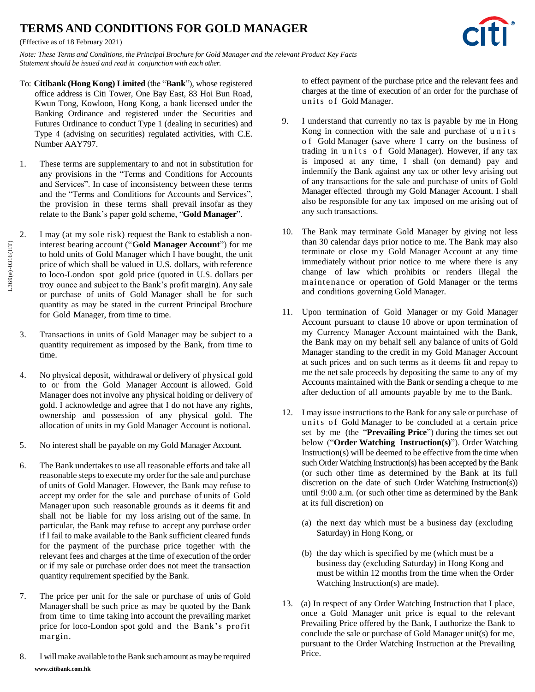## **TERMS AND CONDITIONS FOR GOLD MANAGER**

(Effective as of 18 February 2021)

*Note: These Terms and Conditions, the Principal Brochure for Gold Manager and the relevant Product Key Facts Statement should be issued and read in conjunction with each other.*

- To: **Citibank (Hong Kong) Limited** (the "**Bank**"), whose registered office address is Citi Tower, One Bay East, 83 Hoi Bun Road, Kwun Tong, Kowloon, Hong Kong, a bank licensed under the Banking Ordinance and registered under the Securities and Futures Ordinance to conduct Type 1 (dealing in securities) and Type 4 (advising on securities) regulated activities, with C.E. Number AAY797.
- 1. These terms are supplementary to and not in substitution for any provisions in the "Terms and Conditions for Accounts and Services". In case of inconsistency between these terms and the "Terms and Conditions for Accounts and Services", the provision in these terms shall prevail insofar as they relate to the Bank's paper gold scheme, "**Gold Manager**".
- 2. I may (at my sole risk) request the Bank to establish a noninterest bearing account ("**Gold Manager Account**") for me to hold units of Gold Manager which I have bought, the unit price of which shall be valued in U.S. dollars, with reference to loco-London spot gold price (quoted in U.S. dollars per troy ounce and subject to the Bank's profit margin). Any sale or purchase of units of Gold Manager shall be for such quantity as may be stated in the current Principal Brochure for Gold Manager, from time to time.
- 3. Transactions in units of Gold Manager may be subject to a quantity requirement as imposed by the Bank, from time to time.
- 4. No physical deposit, withdrawal or delivery of physical gold to or from the Gold Manager Account is allowed. Gold Manager does not involve any physical holding or delivery of gold. I acknowledge and agree that I do not have any rights, ownership and possession of any physical gold. The allocation of units in my Gold Manager Account is notional.
- 5. No interest shall be payable on my Gold Manager Account.
- 6. The Bank undertakes to use all reasonable efforts and take all reasonable steps to execute my order for the sale and purchase of units of Gold Manager. However, the Bank may refuse to accept my order for the sale and purchase of units of Gold Manager upon such reasonable grounds as it deems fit and shall not be liable for my loss arising out of the same. In particular, the Bank may refuse to accept any purchase order if I fail to make available to the Bank sufficient cleared funds for the payment of the purchase price together with the relevant fees and charges at the time of execution of the order or if my sale or purchase order does not meet the transaction quantity requirement specified by the Bank.
- 7. The price per unit for the sale or purchase of units of Gold Manager shall be such price as may be quoted by the Bank from time to time taking into account the prevailing market price for loco-London spot gold and the Bank's profit margin.
- **[www.citibank.com.hk](http://www.citibank.com.hk/)** 8. I will make available to the Bank such amount as may be required

to effect payment of the purchase price and the relevant fees and charges at the time of execution of an order for the purchase of units of Gold Manager.

- 9. I understand that currently no tax is payable by me in Hong Kong in connection with the sale and purchase of u n i t s o f Gold Manager (save where I carry on the business of trading in units of Gold Manager). However, if any tax is imposed at any time, I shall (on demand) pay and indemnify the Bank against any tax or other levy arising out of any transactions for the sale and purchase of units of Gold Manager effected through my Gold Manager Account. I shall also be responsible for any tax imposed on me arising out of any such transactions.
- <span id="page-0-0"></span>10. The Bank may terminate Gold Manager by giving not less than 30 calendar days prior notice to me. The Bank may also terminate or close my Gold Manager Account at any time immediately without prior notice to me where there is any change of law which prohibits or renders illegal the maintenance or operation of Gold Manager or the terms and conditions governing Gold Manager.
- 11. Upon termination of Gold Manager or my Gold Manager Account pursuant to clause [10](#page-0-0) above or upon termination of my Currency Manager Account maintained with the Bank, the Bank may on my behalf sell any balance of units of Gold Manager standing to the credit in my Gold Manager Account at such prices and on such terms as it deems fit and repay to me the net sale proceeds by depositing the same to any of my Accounts maintained with the Bank or sending a cheque to me after deduction of all amounts payable by me to the Bank.
- 12. I may issue instructions to the Bank for any sale or purchase of units of Gold Manager to be concluded at a certain price set by me (the "**Prevailing Price**") during the times set out below ("**Order Watching Instruction(s)**"). Order Watching Instruction(s) will be deemed to be effective from the time when such Order Watching Instruction(s) has been accepted by the Bank (or such other time as determined by the Bank at its full discretion on the date of such Order Watching Instruction(s)) until 9:00 a.m. (or such other time as determined by the Bank at its full discretion) on
	- (a) the next day which must be a business day (excluding Saturday) in Hong Kong, or
	- (b) the day which is specified by me (which must be a business day (excluding Saturday) in Hong Kong and must be within 12 months from the time when the Order Watching Instruction(s) are made).
- 13. (a) In respect of any Order Watching Instruction that I place, once a Gold Manager unit price is equal to the relevant Prevailing Price offered by the Bank, I authorize the Bank to conclude the sale or purchase of Gold Manager unit(s) for me, pursuant to the Order Watching Instruction at the Prevailing Price.